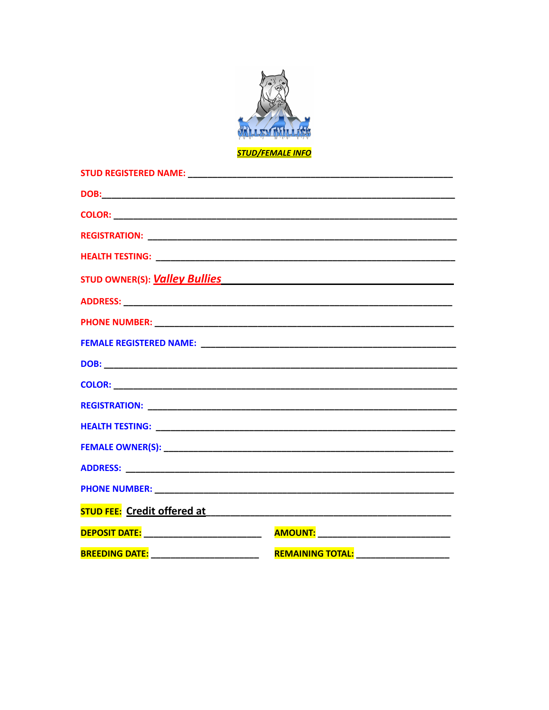

<mark>STUD/FEMALE INFO</mark>

| <b>BREEDING DATE:</b> | ________________________ <mark>REMAINING TOTAL:</mark> ______________________ |
|-----------------------|-------------------------------------------------------------------------------|